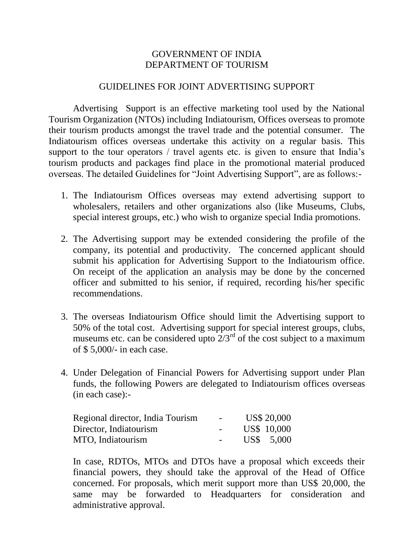## GOVERNMENT OF INDIA DEPARTMENT OF TOURISM

## GUIDELINES FOR JOINT ADVERTISING SUPPORT

Advertising Support is an effective marketing tool used by the National Tourism Organization (NTOs) including Indiatourism, Offices overseas to promote their tourism products amongst the travel trade and the potential consumer. The Indiatourism offices overseas undertake this activity on a regular basis. This support to the tour operators / travel agents etc. is given to ensure that India's tourism products and packages find place in the promotional material produced overseas. The detailed Guidelines for "Joint Advertising Support", are as follows:-

- 1. The Indiatourism Offices overseas may extend advertising support to wholesalers, retailers and other organizations also (like Museums, Clubs, special interest groups, etc.) who wish to organize special India promotions.
- 2. The Advertising support may be extended considering the profile of the company, its potential and productivity. The concerned applicant should submit his application for Advertising Support to the Indiatourism office. On receipt of the application an analysis may be done by the concerned officer and submitted to his senior, if required, recording his/her specific recommendations.
- 3. The overseas Indiatourism Office should limit the Advertising support to 50% of the total cost. Advertising support for special interest groups, clubs, museums etc. can be considered upto  $2/3^{rd}$  of the cost subject to a maximum of \$ 5,000/- in each case.
- 4. Under Delegation of Financial Powers for Advertising support under Plan funds, the following Powers are delegated to Indiatourism offices overseas (in each case):-

| Regional director, India Tourism | $\sim$        | <b>US\$ 20,000</b> |
|----------------------------------|---------------|--------------------|
| Director, Indiatourism           | $\sim$        | US\$ 10,000        |
| MTO, Indiatourism                | $\sim$ $\sim$ | US\$ 5.000         |

In case, RDTOs, MTOs and DTOs have a proposal which exceeds their financial powers, they should take the approval of the Head of Office concerned. For proposals, which merit support more than US\$ 20,000, the same may be forwarded to Headquarters for consideration and administrative approval.